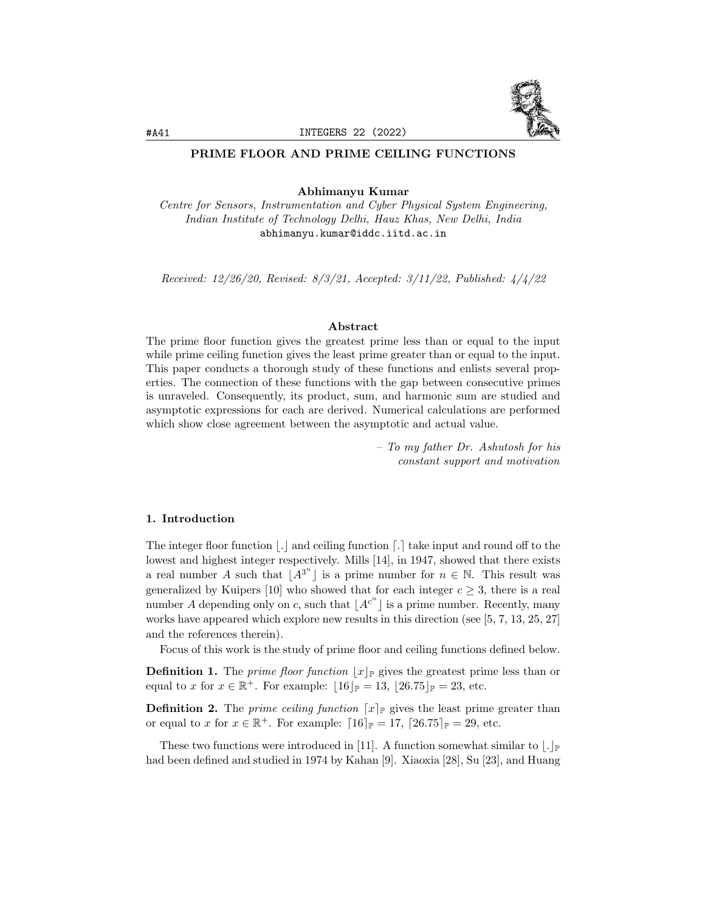

### PRIME FLOOR AND PRIME CEILING FUNCTIONS

Abhimanyu Kumar

Centre for Sensors, Instrumentation and Cyber Physical System Engineering, Indian Institute of Technology Delhi, Hauz Khas, New Delhi, India abhimanyu.kumar@iddc.iitd.ac.in

Received: 12/26/20, Revised: 8/3/21, Accepted: 3/11/22, Published: 4/4/22

#### Abstract

The prime floor function gives the greatest prime less than or equal to the input while prime ceiling function gives the least prime greater than or equal to the input. This paper conducts a thorough study of these functions and enlists several properties. The connection of these functions with the gap between consecutive primes is unraveled. Consequently, its product, sum, and harmonic sum are studied and asymptotic expressions for each are derived. Numerical calculations are performed which show close agreement between the asymptotic and actual value.

> – To my father Dr. Ashutosh for his constant support and motivation

#### 1. Introduction

The integer floor function  $\lfloor . \rfloor$  and ceiling function  $\lfloor . \rfloor$  take input and round off to the lowest and highest integer respectively. Mills [14], in 1947, showed that there exists a real number A such that  $[A^{3^n}]$  is a prime number for  $n \in \mathbb{N}$ . This result was generalized by Kuipers [10] who showed that for each integer  $c \geq 3$ , there is a real number A depending only on c, such that  $|A^{c^n}|$  is a prime number. Recently, many works have appeared which explore new results in this direction (see [5, 7, 13, 25, 27] and the references therein).

Focus of this work is the study of prime floor and ceiling functions defined below.

**Definition 1.** The prime floor function  $|x|_p$  gives the greatest prime less than or equal to x for  $x \in \mathbb{R}^+$ . For example:  $|16|_{\mathbb{P}} = 13, |26.75|_{\mathbb{P}} = 23$ , etc.

**Definition 2.** The *prime ceiling function*  $[x]_P$  gives the least prime greater than or equal to x for  $x \in \mathbb{R}^+$ . For example:  $[16]_{\mathbb{P}} = 17$ ,  $[26.75]_{\mathbb{P}} = 29$ , etc.

These two functions were introduced in [11]. A function somewhat similar to  $|.|_{\mathbb{P}}$ had been defined and studied in 1974 by Kahan [9]. Xiaoxia [28], Su [23], and Huang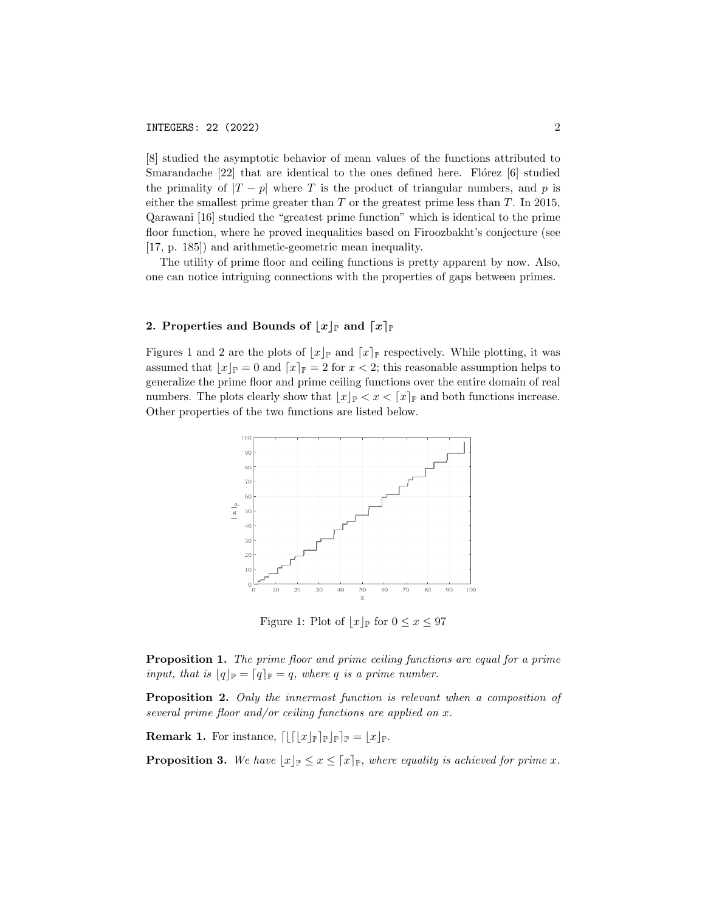[8] studied the asymptotic behavior of mean values of the functions attributed to Smarandache  $[22]$  that are identical to the ones defined here. Flórez  $[6]$  studied the primality of  $|T - p|$  where T is the product of triangular numbers, and p is either the smallest prime greater than  $T$  or the greatest prime less than  $T$ . In 2015, Qarawani [16] studied the "greatest prime function" which is identical to the prime floor function, where he proved inequalities based on Firoozbakht's conjecture (see [17, p. 185]) and arithmetic-geometric mean inequality.

The utility of prime floor and ceiling functions is pretty apparent by now. Also, one can notice intriguing connections with the properties of gaps between primes.

### 2. Properties and Bounds of  $|x|_{\mathbb{P}}$  and  $\lceil x \rceil_{\mathbb{P}}$

Figures 1 and 2 are the plots of  $\lfloor x \rfloor_{\mathbb{P}}$  and  $\lceil x \rceil_{\mathbb{P}}$  respectively. While plotting, it was assumed that  $|x|_{\mathbb{P}} = 0$  and  $\lceil x \rceil_{\mathbb{P}} = 2$  for  $x < 2$ ; this reasonable assumption helps to generalize the prime floor and prime ceiling functions over the entire domain of real numbers. The plots clearly show that  $|x|_p < x < |x|_p$  and both functions increase. Other properties of the two functions are listed below.



Figure 1: Plot of  $|x|_p$  for  $0 \le x \le 97$ 

Proposition 1. The prime floor and prime ceiling functions are equal for a prime input, that is  $\lfloor q \rfloor_{\mathbb{P}} = \lceil q \rceil_{\mathbb{P}} = q$ , where q is a prime number.

Proposition 2. Only the innermost function is relevant when a composition of several prime floor and/or ceiling functions are applied on  $x$ .

**Remark 1.** For instance,  $\left[ \left[ \left[ \lfloor x \rfloor_{\mathbb{P}} \right]_{\mathbb{P}} \right]_{\mathbb{P}} \right]_{\mathbb{P}} = \lfloor x \rfloor_{\mathbb{P}}.$ 

**Proposition 3.** We have  $\lfloor x \rfloor_{\mathbb{P}} \leq x \leq \lceil x \rceil_{\mathbb{P}}$ , where equality is achieved for prime x.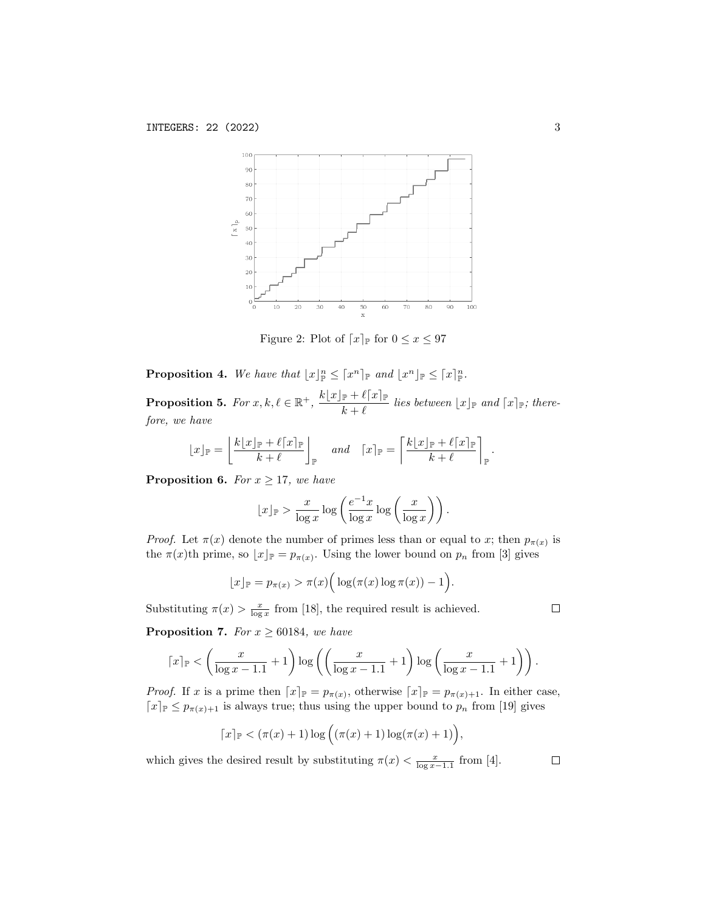

Figure 2: Plot of  $\lceil x \rceil_{\mathbb{P}}$  for  $0 \leq x \leq 97$ 

**Proposition 4.** We have that  $\lfloor x \rfloor_{\mathbb{P}}^n \leq \lceil x^n \rceil_{\mathbb{P}}$  and  $\lfloor x^n \rfloor_{\mathbb{P}} \leq \lceil x \rceil_{\mathbb{P}}^n$ . **Proposition 5.** For  $x, k, \ell \in \mathbb{R}^+$ ,  $\frac{k\lfloor x \rfloor_{\mathbb{P}} + \ell \lceil x \rceil_{\mathbb{P}}}{k}$  $\frac{\mathbb{P} \left[ \left[ \frac{1}{k} \right] - \mathbb{P} \left[ \frac{1}{k} \right] \mathbb{P}}{k + \ell}$  lies between  $\lfloor x \rfloor_{\mathbb{P}}$  and  $\lceil x \rceil_{\mathbb{P}}$ ; there-

fore, we have

$$
\lfloor x \rfloor_{\mathbb{P}} = \left\lfloor \frac{k \lfloor x \rfloor_{\mathbb{P}} + \ell \lceil x \rceil_{\mathbb{P}}}{k + \ell} \right\rfloor_{\mathbb{P}} \quad \text{and} \quad \lceil x \rceil_{\mathbb{P}} = \left\lceil \frac{k \lfloor x \rfloor_{\mathbb{P}} + \ell \lceil x \rceil_{\mathbb{P}}}{k + \ell} \right\rceil_{\mathbb{P}}
$$

**Proposition 6.** For  $x \ge 17$ , we have

$$
\lfloor x \rfloor_{\mathbb{P}} > \frac{x}{\log x} \log \left( \frac{e^{-1}x}{\log x} \log \left( \frac{x}{\log x} \right) \right).
$$

*Proof.* Let  $\pi(x)$  denote the number of primes less than or equal to x; then  $p_{\pi(x)}$  is the  $\pi(x)$ th prime, so  $\lfloor x \rfloor_{\mathbb{P}} = p_{\pi(x)}$ . Using the lower bound on  $p_n$  from [3] gives

$$
\lfloor x \rfloor_{\mathbb{P}} = p_{\pi(x)} > \pi(x) \Big( \log(\pi(x) \log \pi(x)) - 1 \Big).
$$

Substituting  $\pi(x) > \frac{x}{\log x}$  from [18], the required result is achieved.

**Proposition 7.** For  $x \ge 60184$ , we have

$$
\lceil x \rceil_{\mathbb{P}} < \left( \frac{x}{\log x - 1.1} + 1 \right) \log \left( \left( \frac{x}{\log x - 1.1} + 1 \right) \log \left( \frac{x}{\log x - 1.1} + 1 \right) \right).
$$

*Proof.* If x is a prime then  $[x]_{\mathbb{P}} = p_{\pi(x)}$ , otherwise  $[x]_{\mathbb{P}} = p_{\pi(x)+1}$ . In either case,  $\lceil x \rceil_{\mathbb{P}} \leq p_{\pi(x)+1}$  is always true; thus using the upper bound to  $p_n$  from [19] gives

$$
\lceil x \rceil_{\mathbb{P}} < (\pi(x) + 1) \log ((\pi(x) + 1) \log (\pi(x) + 1)),
$$

which gives the desired result by substituting  $\pi(x) < \frac{x}{\log x - 1.1}$  from [4].  $\Box$ 

 $\Box$ 

.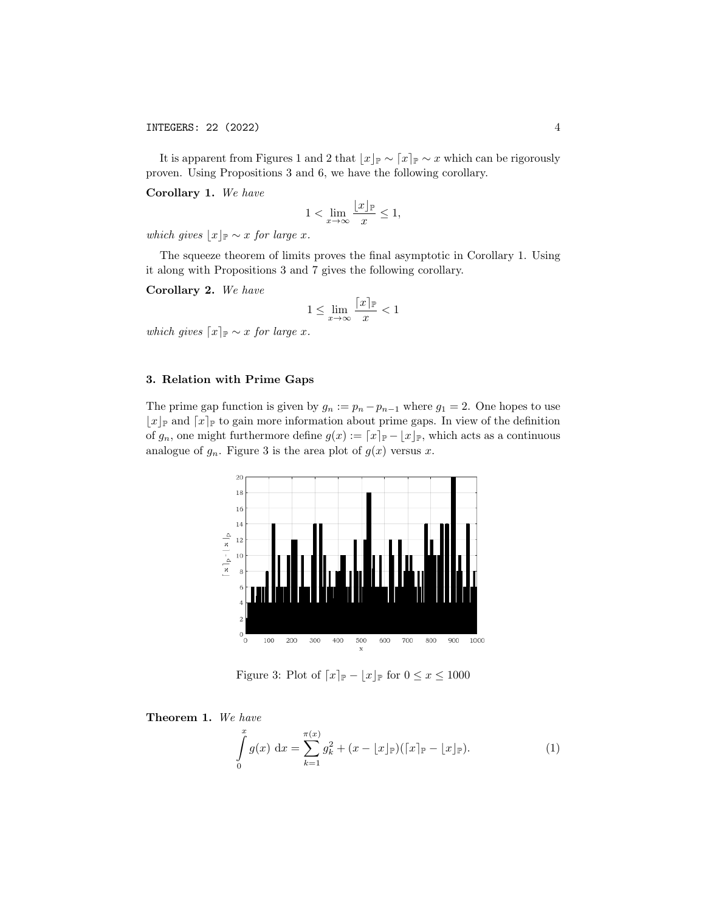It is apparent from Figures 1 and 2 that  $\lfloor x \rfloor_{\mathbb{P}} \sim \lceil x \rceil_{\mathbb{P}} \sim x$  which can be rigorously proven. Using Propositions 3 and 6, we have the following corollary.

Corollary 1. We have

$$
1 < \lim_{x \to \infty} \frac{\lfloor x \rfloor_{\mathbb{P}}}{x} \le 1,
$$

which gives  $\lfloor x \rfloor_{\mathbb{P}} \sim x$  for large x.

The squeeze theorem of limits proves the final asymptotic in Corollary 1. Using it along with Propositions 3 and 7 gives the following corollary.

Corollary 2. We have

$$
1 \le \lim_{x \to \infty} \frac{\lceil x \rceil_{\mathbb{P}}}{x} < 1
$$

which gives  $\lceil x \rceil_{\mathbb{P}} \sim x$  for large x.

### 3. Relation with Prime Gaps

The prime gap function is given by  $g_n := p_n - p_{n-1}$  where  $g_1 = 2$ . One hopes to use  $\lfloor x \rfloor_{\mathbb{P}}$  and  $\lceil x \rceil_{\mathbb{P}}$  to gain more information about prime gaps. In view of the definition of  $g_n$ , one might furthermore define  $g(x) := [x]_{\mathbb{P}} - \lfloor x \rfloor_{\mathbb{P}}$ , which acts as a continuous analogue of  $g_n$ . Figure 3 is the area plot of  $g(x)$  versus x.



Figure 3: Plot of  $\lceil x \rceil_{\mathbb{P}} - \lfloor x \rfloor_{\mathbb{P}}$  for  $0 \le x \le 1000$ 

Theorem 1. We have

$$
\int_{0}^{x} g(x) dx = \sum_{k=1}^{\pi(x)} g_k^2 + (x - \lfloor x \rfloor_{\mathbb{P}}) (\lceil x \rceil_{\mathbb{P}} - \lfloor x \rfloor_{\mathbb{P}}).
$$
 (1)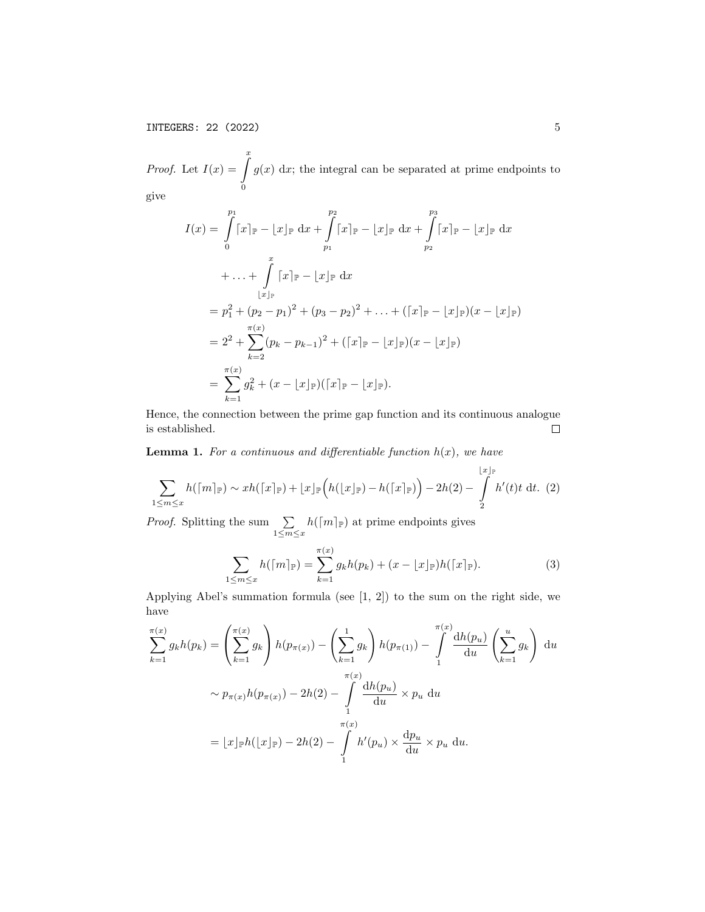*Proof.* Let  $I(x) = \int_{0}^{x}$ 0  $g(x)$  dx; the integral can be separated at prime endpoints to give

$$
I(x) = \int_{0}^{p_1} [x]_{\mathbb{P}} - [x]_{\mathbb{P}} dx + \int_{p_1}^{p_2} [x]_{\mathbb{P}} - [x]_{\mathbb{P}} dx + \int_{p_2}^{p_3} [x]_{\mathbb{P}} - [x]_{\mathbb{P}} dx
$$
  
+ ... + 
$$
\int_{|x|_{\mathbb{P}}}^{x} [x]_{\mathbb{P}} - [x]_{\mathbb{P}} dx
$$
  
= 
$$
p_1^2 + (p_2 - p_1)^2 + (p_3 - p_2)^2 + ... + ([x]_{\mathbb{P}} - [x]_{\mathbb{P}})(x - [x]_{\mathbb{P}})
$$
  
= 
$$
2^2 + \sum_{k=2}^{\pi(x)} (p_k - p_{k-1})^2 + ([x]_{\mathbb{P}} - [x]_{\mathbb{P}})(x - [x]_{\mathbb{P}})
$$
  
= 
$$
\sum_{k=1}^{\pi(x)} g_k^2 + (x - [x]_{\mathbb{P}})([x]_{\mathbb{P}} - [x]_{\mathbb{P}}).
$$

Hence, the connection between the prime gap function and its continuous analogue is established.  $\Box$ 

**Lemma 1.** For a continuous and differentiable function  $h(x)$ , we have

$$
\sum_{1 \le m \le x} h(\lceil m \rceil_{\mathbb{P}}) \sim x h(\lceil x \rceil_{\mathbb{P}}) + \lfloor x \rfloor_{\mathbb{P}} \Big( h(\lfloor x \rfloor_{\mathbb{P}}) - h(\lceil x \rceil_{\mathbb{P}}) \Big) - 2h(2) - \int_{2}^{\lfloor x \rfloor_{\mathbb{P}}} h'(t)t \, dt. \tag{2}
$$

*Proof.* Splitting the sum  $\sum$  $1\leq m\leq x$  $h([m]_{\mathbb{P}})$  at prime endpoints gives

$$
\sum_{1 \le m \le x} h(\lceil m \rceil_{\mathbb{P}}) = \sum_{k=1}^{\pi(x)} g_k h(p_k) + (x - \lfloor x \rfloor_{\mathbb{P}}) h(\lceil x \rceil_{\mathbb{P}}). \tag{3}
$$

Applying Abel's summation formula (see [1, 2]) to the sum on the right side, we have

$$
\sum_{k=1}^{\pi(x)} g_k h(p_k) = \left(\sum_{k=1}^{\pi(x)} g_k\right) h(p_{\pi(x)}) - \left(\sum_{k=1}^{\pi(x)} g_k\right) h(p_{\pi(1)}) - \int_{1}^{\pi(x)} \frac{dh(p_u)}{du} \left(\sum_{k=1}^u g_k\right) du
$$
  

$$
\sim p_{\pi(x)} h(p_{\pi(x)}) - 2h(2) - \int_{1}^{\pi(x)} \frac{dh(p_u)}{du} \times p_u du
$$
  

$$
= \lfloor x \rfloor_{\mathbb{P}} h(\lfloor x \rfloor_{\mathbb{P}}) - 2h(2) - \int_{1}^{\pi(x)} h'(p_u) \times \frac{dp_u}{du} \times p_u du.
$$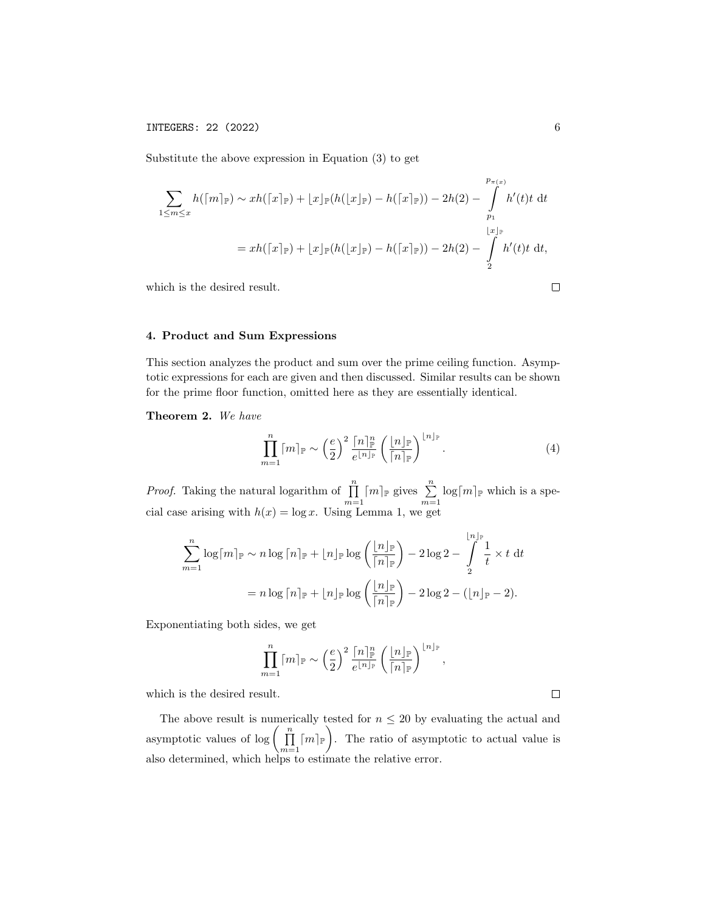Substitute the above expression in Equation (3) to get

$$
\sum_{1 \le m \le x} h(\lceil m \rceil_{\mathbb{P}}) \sim xh(\lceil x \rceil_{\mathbb{P}}) + \lfloor x \rfloor_{\mathbb{P}}(h(\lfloor x \rfloor_{\mathbb{P}}) - h(\lceil x \rceil_{\mathbb{P}})) - 2h(2) - \int_{p_1}^{p_{\pi(x)}} h'(t)t \, dt
$$
\n
$$
= xh(\lceil x \rceil_{\mathbb{P}}) + \lfloor x \rfloor_{\mathbb{P}}(h(\lfloor x \rfloor_{\mathbb{P}}) - h(\lceil x \rceil_{\mathbb{P}})) - 2h(2) - \int_{2}^{\lfloor x \rfloor_{\mathbb{P}}} h'(t)t \, dt,
$$
\nwhich is the desired result.

which is the desired result.

# 4. Product and Sum Expressions

This section analyzes the product and sum over the prime ceiling function. Asymptotic expressions for each are given and then discussed. Similar results can be shown for the prime floor function, omitted here as they are essentially identical.

Theorem 2. We have

$$
\prod_{m=1}^{n} \lceil m \rceil_{\mathbb{P}} \sim \left(\frac{e}{2}\right)^{2} \frac{\lceil n \rceil_{\mathbb{P}}^{n}}{e^{\lfloor n \rfloor_{\mathbb{P}}}} \left(\frac{\lfloor n \rfloor_{\mathbb{P}}}{\lceil n \rceil_{\mathbb{P}}}\right)^{\lfloor n \rfloor_{\mathbb{P}}}.
$$
\n(4)

*Proof.* Taking the natural logarithm of  $\prod_{m=1}^{n} [m]_{\mathbb{P}}$  gives  $\sum_{m=1}^{n} \log[m]_{\mathbb{P}}$  which is a special case arising with  $h(x) = \log x$ . Using Lemma 1, we get

$$
\sum_{m=1}^{n} \log \lceil m \rceil_{\mathbb{P}} \sim n \log \lceil n \rceil_{\mathbb{P}} + \lfloor n \rfloor_{\mathbb{P}} \log \left( \frac{\lfloor n \rfloor_{\mathbb{P}}}{\lceil n \rceil_{\mathbb{P}}} \right) - 2 \log 2 - \int_{2}^{\lfloor n \rfloor_{\mathbb{P}}} \frac{1}{t} \times t \, dt
$$

$$
= n \log \lceil n \rceil_{\mathbb{P}} + \lfloor n \rfloor_{\mathbb{P}} \log \left( \frac{\lfloor n \rfloor_{\mathbb{P}}}{\lceil n \rceil_{\mathbb{P}}} \right) - 2 \log 2 - (\lfloor n \rfloor_{\mathbb{P}} - 2).
$$

Exponentiating both sides, we get

$$
\prod_{m=1}^n \lceil m \rceil_{\mathbb{P}} \sim \left(\frac{e}{2}\right)^2 \frac{\lceil n \rceil_{\mathbb{P}}^n}{e^{\lfloor n \rfloor_{\mathbb{P}}}} \left(\frac{\lfloor n \rfloor_{\mathbb{P}}}{\lceil n \rceil_{\mathbb{P}}}\right)^{\lfloor n \rfloor_{\mathbb{P}}},
$$

which is the desired result.

The above result is numerically tested for  $n \leq 20$  by evaluating the actual and asymptotic values of  $\log \left( \prod_{m=1}^n \lceil m \rceil_{\mathbb{P}} \right)$ . The ratio of asymptotic to actual value is also determined, which helps to estimate the relative error.

 $\Box$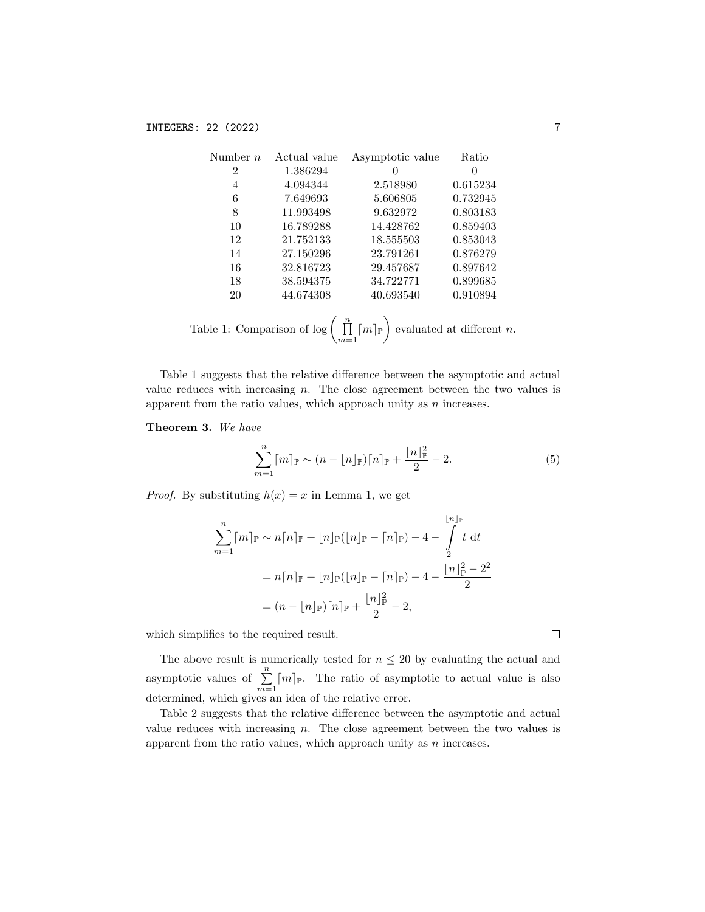| Number $n$     | Actual value | Asymptotic value | Ratio    |
|----------------|--------------|------------------|----------|
| $\overline{2}$ | 1.386294     | $\mathbf{0}$     | $\theta$ |
| 4              | 4.094344     | 2.518980         | 0.615234 |
| 6              | 7.649693     | 5.606805         | 0.732945 |
| 8              | 11.993498    | 9.632972         | 0.803183 |
| 10             | 16.789288    | 14.428762        | 0.859403 |
| 12             | 21.752133    | 18.555503        | 0.853043 |
| 14             | 27.150296    | 23.791261        | 0.876279 |
| 16             | 32.816723    | 29.457687        | 0.897642 |
| 18             | 38.594375    | 34.722771        | 0.899685 |
| 20             | 44.674308    | 40.693540        | 0.910894 |
|                |              |                  |          |

| unde 1: Comparison of $\log\left(\prod\limits_{m=1}^n \lceil m\rceil_{\mathbb{P}}\right)$ evaluated at different |  |
|------------------------------------------------------------------------------------------------------------------|--|
|------------------------------------------------------------------------------------------------------------------|--|

Table 1 suggests that the relative difference between the asymptotic and actual value reduces with increasing  $n$ . The close agreement between the two values is apparent from the ratio values, which approach unity as  $n$  increases.

Theorem 3. We have

$$
\sum_{m=1}^{n} \lceil m \rceil_{\mathbb{P}} \sim (n - \lfloor n \rfloor_{\mathbb{P}}) \lceil n \rceil_{\mathbb{P}} + \frac{\lfloor n \rfloor_{\mathbb{P}}^2}{2} - 2. \tag{5}
$$

*Proof.* By substituting  $h(x) = x$  in Lemma 1, we get

$$
\sum_{m=1}^{n} [m]_{\mathbb{P}} \sim n[n]_{\mathbb{P}} + [n]_{\mathbb{P}}([n]_{\mathbb{P}} - [n]_{\mathbb{P}}) - 4 - \int_{2}^{\lfloor n \rfloor_{\mathbb{P}}} t \, dt
$$

$$
= n[n]_{\mathbb{P}} + [n]_{\mathbb{P}}([n]_{\mathbb{P}} - [n]_{\mathbb{P}}) - 4 - \frac{\lfloor n \rfloor_{\mathbb{P}}^{2} - 2^{2}}{2}
$$

$$
= (n - \lfloor n \rfloor_{\mathbb{P}})[n]_{\mathbb{P}} + \frac{\lfloor n \rfloor_{\mathbb{P}}^{2}}{2} - 2,
$$

which simplifies to the required result.

The above result is numerically tested for  $n \leq 20$  by evaluating the actual and asymptotic values of  $\sum_{m=1}^{n} [m]_{\mathbb{P}}$ . The ratio of asymptotic to actual value is also determined, which gives an idea of the relative error.

Table 2 suggests that the relative difference between the asymptotic and actual value reduces with increasing  $n$ . The close agreement between the two values is apparent from the ratio values, which approach unity as  $n$  increases.

 $\Box$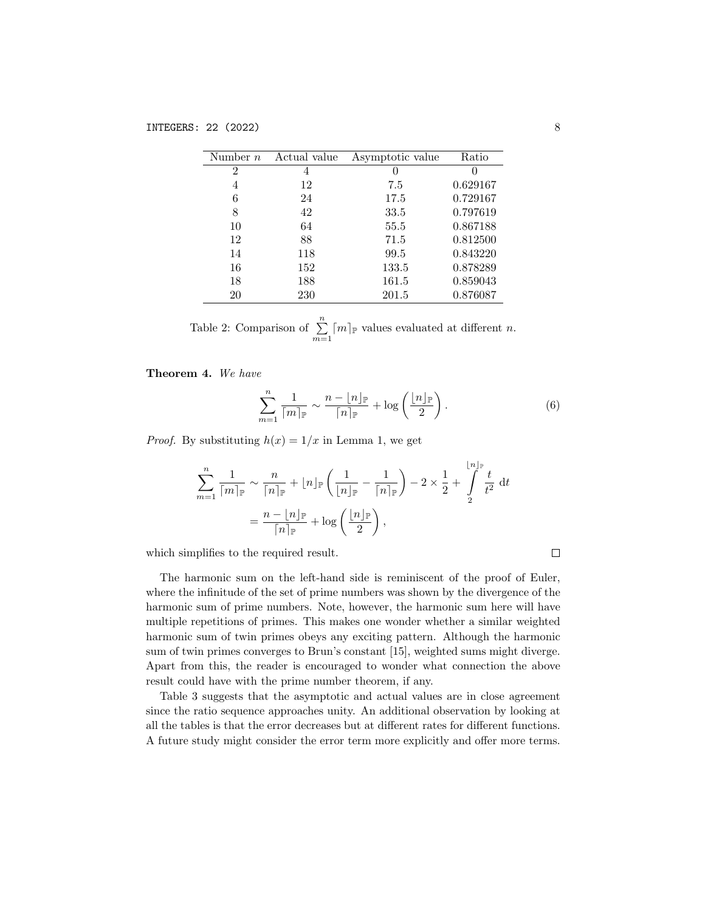| Number $n$    | Actual value | Asymptotic value | Ratio    |
|---------------|--------------|------------------|----------|
| $\mathcal{D}$ | 4            |                  |          |
| 4             | 12           | 7.5              | 0.629167 |
| 6             | 24           | 17.5             | 0.729167 |
| 8             | 42           | 33.5             | 0.797619 |
| 10            | 64           | 55.5             | 0.867188 |
| 12            | 88           | 71.5             | 0.812500 |
| 14            | 118          | 99.5             | 0.843220 |
| 16            | 152          | 133.5            | 0.878289 |
| 18            | 188          | 161.5            | 0.859043 |
| 20            | 230          | 201.5            | 0.876087 |
|               |              |                  |          |

Table 2: Comparison of  $\sum_{m=1}^{n} \lceil m \rceil_{\mathbb{P}}$  values evaluated at different *n*.

Theorem 4. We have

$$
\sum_{m=1}^{n} \frac{1}{\lceil m \rceil_{\mathbb{P}}} \sim \frac{n - \lfloor n \rfloor_{\mathbb{P}}}{\lceil n \rceil_{\mathbb{P}}} + \log \left( \frac{\lfloor n \rfloor_{\mathbb{P}}}{2} \right). \tag{6}
$$

*Proof.* By substituting  $h(x) = 1/x$  in Lemma 1, we get

$$
\sum_{m=1}^{n} \frac{1}{\lceil m \rceil_{\mathbb{P}}} \sim \frac{n}{\lceil n \rceil_{\mathbb{P}}} + \lfloor n \rfloor_{\mathbb{P}} \left( \frac{1}{\lfloor n \rfloor_{\mathbb{P}}} - \frac{1}{\lceil n \rceil_{\mathbb{P}}} \right) - 2 \times \frac{1}{2} + \int_{2}^{\lfloor n \rfloor_{\mathbb{P}}} \frac{t}{t^2} dt
$$

$$
= \frac{n - \lfloor n \rfloor_{\mathbb{P}}}{\lceil n \rceil_{\mathbb{P}}} + \log \left( \frac{\lfloor n \rfloor_{\mathbb{P}}}2 \right),
$$

which simplifies to the required result.

The harmonic sum on the left-hand side is reminiscent of the proof of Euler, where the infinitude of the set of prime numbers was shown by the divergence of the harmonic sum of prime numbers. Note, however, the harmonic sum here will have multiple repetitions of primes. This makes one wonder whether a similar weighted harmonic sum of twin primes obeys any exciting pattern. Although the harmonic sum of twin primes converges to Brun's constant [15], weighted sums might diverge. Apart from this, the reader is encouraged to wonder what connection the above result could have with the prime number theorem, if any.

Table 3 suggests that the asymptotic and actual values are in close agreement since the ratio sequence approaches unity. An additional observation by looking at all the tables is that the error decreases but at different rates for different functions. A future study might consider the error term more explicitly and offer more terms.

 $\Box$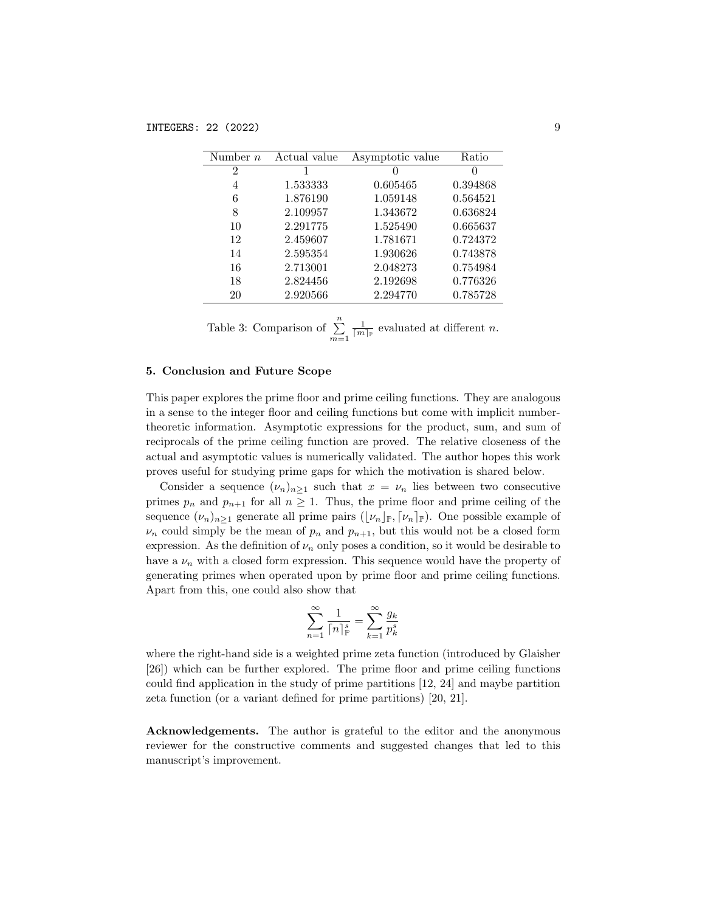| Number $n$     | Actual value | Asymptotic value | Ratio    |
|----------------|--------------|------------------|----------|
| $\overline{2}$ | 1            | $\mathbf{0}$     | $\Omega$ |
| 4              | 1.533333     | 0.605465         | 0.394868 |
| 6              | 1.876190     | 1.059148         | 0.564521 |
| 8              | 2.109957     | 1.343672         | 0.636824 |
| 10             | 2.291775     | 1.525490         | 0.665637 |
| 12             | 2.459607     | 1.781671         | 0.724372 |
| 14             | 2.595354     | 1.930626         | 0.743878 |
| 16             | 2.713001     | 2.048273         | 0.754984 |
| 18             | 2.824456     | 2.192698         | 0.776326 |
| 20             | 2.920566     | 2.294770         | 0.785728 |
|                |              |                  |          |

Table 3: Comparison of  $\sum_{m=1}^{n}$  $\frac{1}{\lceil m \rceil_{\mathbb{P}}}$  evaluated at different *n*.

## 5. Conclusion and Future Scope

This paper explores the prime floor and prime ceiling functions. They are analogous in a sense to the integer floor and ceiling functions but come with implicit numbertheoretic information. Asymptotic expressions for the product, sum, and sum of reciprocals of the prime ceiling function are proved. The relative closeness of the actual and asymptotic values is numerically validated. The author hopes this work proves useful for studying prime gaps for which the motivation is shared below.

Consider a sequence  $(\nu_n)_{n\geq 1}$  such that  $x = \nu_n$  lies between two consecutive primes  $p_n$  and  $p_{n+1}$  for all  $n \geq 1$ . Thus, the prime floor and prime ceiling of the sequence  $(\nu_n)_{n\geq 1}$  generate all prime pairs  $([\nu_n]_{\mathbb{P}}, [\nu_n]_{\mathbb{P}})$ . One possible example of  $\nu_n$  could simply be the mean of  $p_n$  and  $p_{n+1}$ , but this would not be a closed form expression. As the definition of  $\nu_n$  only poses a condition, so it would be desirable to have a  $\nu_n$  with a closed form expression. This sequence would have the property of generating primes when operated upon by prime floor and prime ceiling functions. Apart from this, one could also show that

$$
\sum_{n=1}^\infty \frac{1}{\lceil n \rceil_{\mathbb P}^s} = \sum_{k=1}^\infty \frac{g_k}{p_k^s}
$$

where the right-hand side is a weighted prime zeta function (introduced by Glaisher [26]) which can be further explored. The prime floor and prime ceiling functions could find application in the study of prime partitions [12, 24] and maybe partition zeta function (or a variant defined for prime partitions) [20, 21].

Acknowledgements. The author is grateful to the editor and the anonymous reviewer for the constructive comments and suggested changes that led to this manuscript's improvement.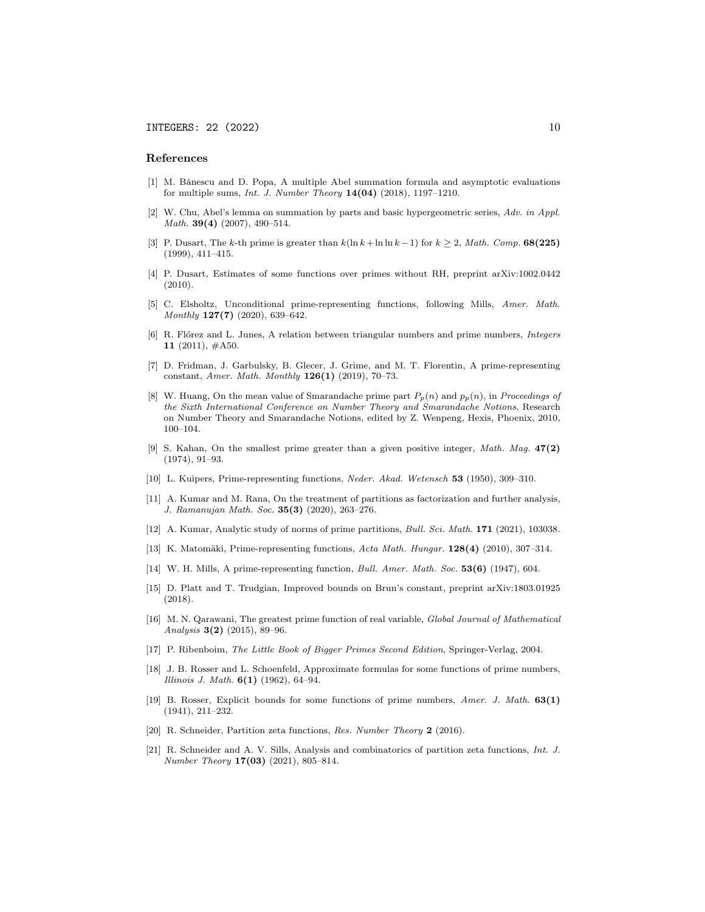#### References

- [1] M. Bǎnescu and D. Popa, A multiple Abel summation formula and asymptotic evaluations for multiple sums, Int. J. Number Theory 14(04) (2018), 1197–1210.
- [2] W. Chu, Abel's lemma on summation by parts and basic hypergeometric series, Adv. in Appl. Math. **39(4)** (2007), 490-514.
- [3] P. Dusart, The k-th prime is greater than  $k(\ln k + \ln \ln k 1)$  for  $k > 2$ , Math. Comp. **68(225)** (1999), 411–415.
- [4] P. Dusart, Estimates of some functions over primes without RH, preprint arXiv:1002.0442 (2010).
- [5] C. Elsholtz, Unconditional prime-representing functions, following Mills, Amer. Math. Monthly 127(7) (2020), 639–642.
- [6] R. Flórez and L. Junes, A relation between triangular numbers and prime numbers, *Integers* 11  $(2011)$ ,  $#A50$ .
- [7] D. Fridman, J. Garbulsky, B. Glecer, J. Grime, and M. T. Florentin, A prime-representing constant, Amer. Math. Monthly  $126(1)$  (2019), 70-73.
- [8] W. Huang, On the mean value of Smarandache prime part  $P_p(n)$  and  $p_p(n)$ , in *Proceedings of* the Sixth International Conference on Number Theory and Smarandache Notions, Research on Number Theory and Smarandache Notions, edited by Z. Wenpeng, Hexis, Phoenix, 2010, 100–104.
- [9] S. Kahan, On the smallest prime greater than a given positive integer, Math. Mag. 47(2) (1974), 91–93.
- [10] L. Kuipers, Prime-representing functions, Neder. Akad. Wetensch 53 (1950), 309–310.
- [11] A. Kumar and M. Rana, On the treatment of partitions as factorization and further analysis, J. Ramanujan Math. Soc. 35(3) (2020), 263–276.
- [12] A. Kumar, Analytic study of norms of prime partitions, Bull. Sci. Math. 171 (2021), 103038.
- [13] K. Matomäki, Prime-representing functions, Acta Math. Hungar. 128(4) (2010), 307-314.
- [14] W. H. Mills, A prime-representing function, Bull. Amer. Math. Soc. 53(6) (1947), 604.
- [15] D. Platt and T. Trudgian, Improved bounds on Brun's constant, preprint arXiv:1803.01925 (2018).
- [16] M. N. Qarawani, The greatest prime function of real variable, Global Journal of Mathematical Analysis 3(2) (2015), 89–96.
- [17] P. Ribenboim, The Little Book of Bigger Primes Second Edition, Springer-Verlag, 2004.
- [18] J. B. Rosser and L. Schoenfeld, Approximate formulas for some functions of prime numbers, Illinois J. Math.  $6(1)$  (1962), 64-94.
- [19] B. Rosser, Explicit bounds for some functions of prime numbers, Amer. J. Math. 63(1) (1941), 211–232.
- [20] R. Schneider, Partition zeta functions, Res. Number Theory 2 (2016).
- [21] R. Schneider and A. V. Sills, Analysis and combinatorics of partition zeta functions, Int. J. Number Theory 17(03) (2021), 805–814.